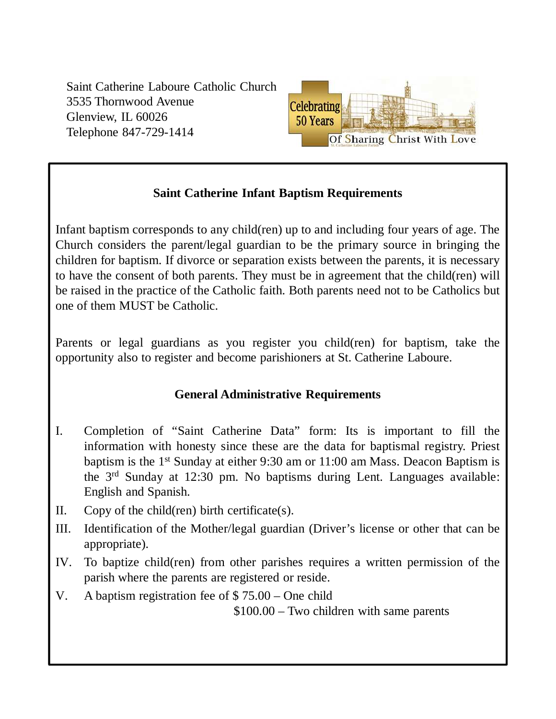Saint Catherine Laboure Catholic Church 3535 Thornwood Avenue Glenview, IL 60026 Telephone 847-729-1414



#### **Saint Catherine Infant Baptism Requirements**

Infant baptism corresponds to any child(ren) up to and including four years of age. The Church considers the parent/legal guardian to be the primary source in bringing the children for baptism. If divorce or separation exists between the parents, it is necessary to have the consent of both parents. They must be in agreement that the child(ren) will be raised in the practice of the Catholic faith. Both parents need not to be Catholics but one of them MUST be Catholic.

Parents or legal guardians as you register you child(ren) for baptism, take the opportunity also to register and become parishioners at St. Catherine Laboure.

#### **General Administrative Requirements**

- I. Completion of "Saint Catherine Data" form: Its is important to fill the information with honesty since these are the data for baptismal registry. Priest baptism is the  $1<sup>st</sup>$  Sunday at either 9:30 am or 11:00 am Mass. Deacon Baptism is the 3rd Sunday at 12:30 pm. No baptisms during Lent. Languages available: English and Spanish.
- II. Copy of the child(ren) birth certificate(s).
- III. Identification of the Mother/legal guardian (Driver's license or other that can be appropriate).
- IV. To baptize child(ren) from other parishes requires a written permission of the parish where the parents are registered or reside.
- V. A baptism registration fee of \$ 75.00 One child \$100.00 – Two children with same parents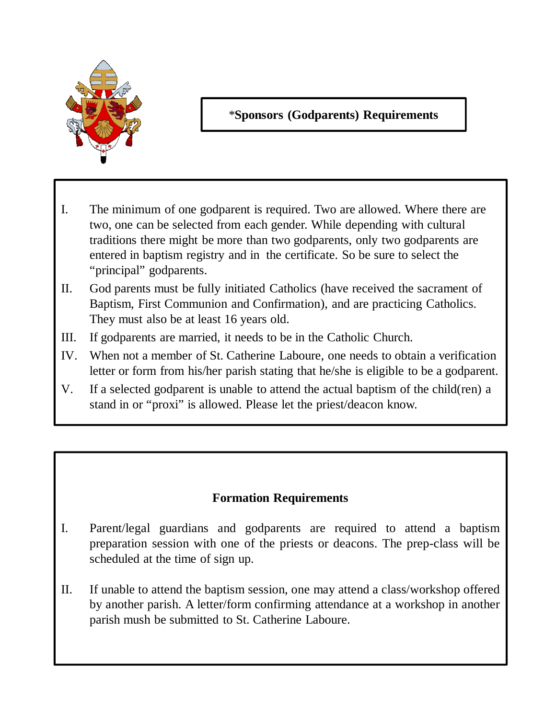

### \***Sponsors (Godparents) Requirements**

- I. The minimum of one godparent is required. Two are allowed. Where there are two, one can be selected from each gender. While depending with cultural traditions there might be more than two godparents, only two godparents are entered in baptism registry and in the certificate. So be sure to select the "principal" godparents.
- II. God parents must be fully initiated Catholics (have received the sacrament of Baptism, First Communion and Confirmation), and are practicing Catholics. They must also be at least 16 years old.
- III. If godparents are married, it needs to be in the Catholic Church.
- IV. When not a member of St. Catherine Laboure, one needs to obtain a verification letter or form from his/her parish stating that he/she is eligible to be a godparent.
- V. If a selected godparent is unable to attend the actual baptism of the child(ren) a stand in or "proxi" is allowed. Please let the priest/deacon know.

#### **Formation Requirements**

- I. Parent/legal guardians and godparents are required to attend a baptism preparation session with one of the priests or deacons. The prep-class will be scheduled at the time of sign up.
- II. If unable to attend the baptism session, one may attend a class/workshop offered by another parish. A letter/form confirming attendance at a workshop in another parish mush be submitted to St. Catherine Laboure.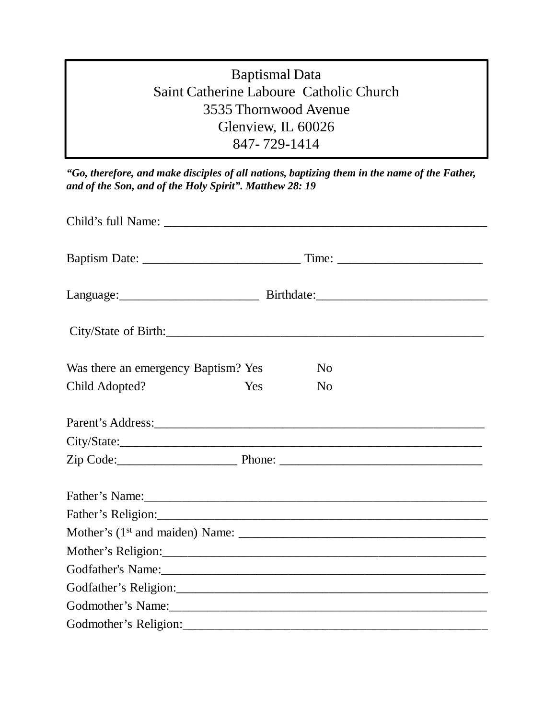## Baptismal Data Saint Catherine Laboure Catholic Church 3535 Thornwood Avenue Glenview, IL 60026 847- 729-1414

*"Go, therefore, and make disciples of all nations, baptizing them in the name of the Father, and of the Son, and of the Holy Spirit". Matthew 28: 19*

| Was there an emergency Baptism? Yes |     | N <sub>0</sub> |  |
|-------------------------------------|-----|----------------|--|
| Child Adopted?                      | Yes | N <sub>o</sub> |  |
|                                     |     |                |  |
|                                     |     |                |  |
|                                     |     |                |  |
|                                     |     |                |  |
|                                     |     |                |  |
|                                     |     |                |  |
|                                     |     |                |  |
|                                     |     |                |  |
|                                     |     |                |  |
|                                     |     |                |  |
|                                     |     |                |  |